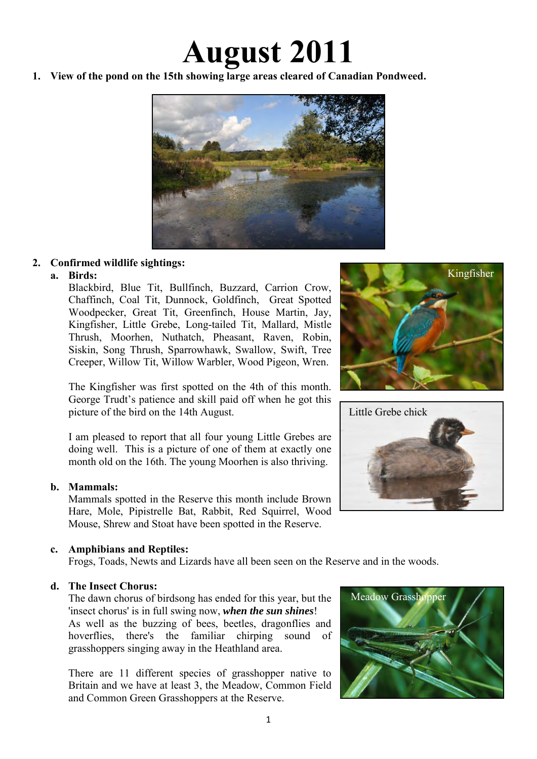# **August 2011**

**1. View of the pond on the 15th showing large areas cleared of Canadian Pondweed.** 



## **2. Confirmed wildlife sightings:**

## **a. Birds:**

Blackbird, Blue Tit, Bullfinch, Buzzard, Carrion Crow, Chaffinch, Coal Tit, Dunnock, Goldfinch, Great Spotted Woodpecker, Great Tit, Greenfinch, House Martin, Jay, Kingfisher, Little Grebe, Long-tailed Tit, Mallard, Mistle Thrush, Moorhen, Nuthatch, Pheasant, Raven, Robin, Siskin, Song Thrush, Sparrowhawk, Swallow, Swift, Tree Creeper, Willow Tit, Willow Warbler, Wood Pigeon, Wren.

The Kingfisher was first spotted on the 4th of this month. George Trudt's patience and skill paid off when he got this picture of the bird on the 14th August.

I am pleased to report that all four young Little Grebes are doing well. This is a picture of one of them at exactly one month old on the 16th. The young Moorhen is also thriving.

#### **b. Mammals:**

Mammals spotted in the Reserve this month include Brown Hare, Mole, Pipistrelle Bat, Rabbit, Red Squirrel, Wood Mouse, Shrew and Stoat have been spotted in the Reserve.

## **c. Amphibians and Reptiles:**

Frogs, Toads, Newts and Lizards have all been seen on the Reserve and in the woods.

#### **d. The Insect Chorus:**

The dawn chorus of birdsong has ended for this year, but the 'insect chorus' is in full swing now, *when the sun shines*! As well as the buzzing of bees, beetles, dragonflies and hoverflies, there's the familiar chirping sound of grasshoppers singing away in the Heathland area.

There are 11 different species of grasshopper native to Britain and we have at least 3, the Meadow, Common Field and Common Green Grasshoppers at the Reserve.





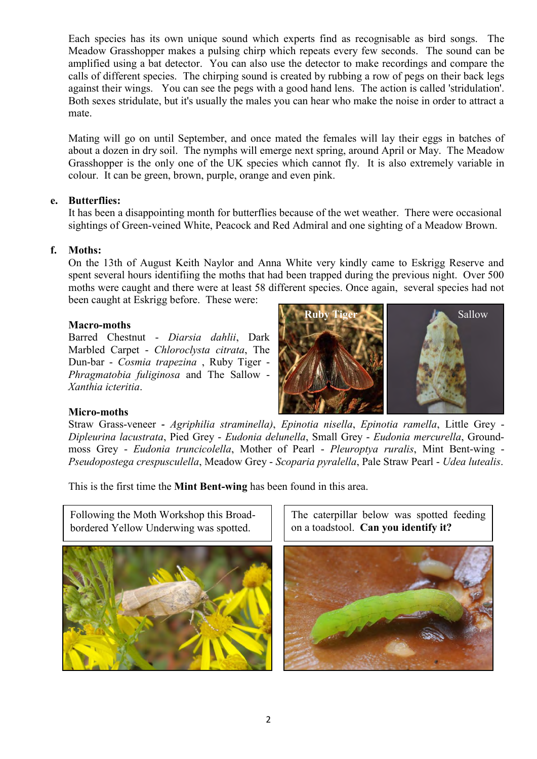Each species has its own unique sound which experts find as recognisable as bird songs. The Meadow Grasshopper makes a pulsing chirp which repeats every few seconds. The sound can be amplified using a [bat detector.](http://www.uksafari.com/shop/goods/bat5.htm) You can also use the detector to make recordings and compare the calls of different species. The chirping sound is created by rubbing a [row of pegs on their back legs](http://www.uksafari.com/jpeg3/grasshopper09.jpg) against their wings. You can see the pegs with a good hand lens. The action is called 'stridulation'. Both sexes stridulate, but it's usually the males you can hear who make the noise in order to attract a mate.

Mating will go on until September, and once [mated](http://www.uksafari.com/jpeg3/grasshopper12.jpg) the females will lay their eggs in batches of about a dozen in dry soil. The nymphs will emerge next spring, around April or May. The Meadow Grasshopper is the only one of the UK species which cannot fly. It is also extremely variable in colour. It can be green, brown, purple, orange and even [pink.](http://www.uksafari.com/jpeg3/grasshopper10.jpg)

#### **e. Butterflies:**

It has been a disappointing month for butterflies because of the wet weather. There were occasional sightings of Green-veined White, Peacock and Red Admiral and one sighting of a Meadow Brown.

#### **f. Moths:**

On the 13th of August Keith Naylor and Anna White very kindly came to Eskrigg Reserve and spent several hours identifiing the moths that had been trapped during the previous night. Over 500 moths were caught and there were at least 58 different species. Once again, several species had not been caught at Eskrigg before. These were:

#### **Macro-moths**

Barred Chestnut - *Diarsia dahlii*, Dark Marbled Carpet - *Chloroclysta citrata*, The Dun-bar - *Cosmia trapezina* , Ruby Tiger - *Phragmatobia fuliginosa* and The Sallow - *Xanthia icteritia*.



#### **Micro-moths**

Straw Grass-veneer *- Agriphilia straminella)*, *Epinotia nisella*, *Epinotia ramella*, Little Grey - *Dipleurina lacustrata*, Pied Grey - *Eudonia delunella*, Small Grey - *Eudonia mercurella*, Groundmoss Grey - *Eudonia truncicolella*, Mother of Pearl - *Pleuroptya ruralis*, Mint Bent-wing - *Pseudopostega crespusculella*, Meadow Grey - *Scoparia pyralella*, Pale Straw Pearl - *Udea lutealis*.

This is the first time the **Mint Bent-wing** has been found in this area.

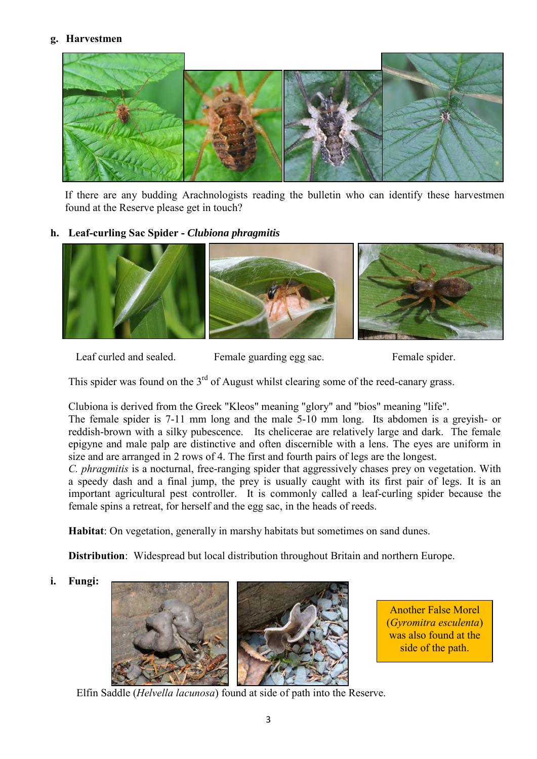#### **g. Harvestmen**



If there are any budding Arachnologists reading the bulletin who can identify these harvestmen found at the Reserve please get in touch?

#### **h. Leaf-curling Sac Spider -** *Clubiona phragmitis*



Leaf curled and sealed. Female guarding egg sac. Female spider.

This spider was found on the  $3<sup>rd</sup>$  of August whilst clearing some of the reed-canary grass.

Clubiona is derived from the Greek "Kleos" meaning "glory" and "bios" meaning "life".

The female spider is 7-11 mm long and the male 5-10 mm long. Its abdomen is a greyish- or reddish-brown with a silky pubescence. Its chelicerae are relatively large and dark. The female epigyne and male palp are distinctive and often discernible with a lens. The eyes are uniform in size and are arranged in 2 rows of 4. The first and fourth pairs of legs are the longest.

*C. phragmitis* is a nocturnal, free-ranging spider that aggressively chases prey on vegetation. With a speedy dash and a final jump, the prey is usually caught with its first pair of legs. It is an important agricultural pest controller. It is commonly called a leaf-curling spider because the female spins a retreat, for herself and the egg sac, in the heads of reeds.

 **Habitat**: On vegetation, generally in marshy habitats but sometimes on sand dunes.

 **Distribution**: Widespread but local distribution throughout Britain and northern Europe.

 **i. Fungi:** 





Another False Morel (*Gyromitra esculenta*) was also found at the side of the path.

Elfin Saddle (*Helvella lacunosa*) found at side of path into the Reserve.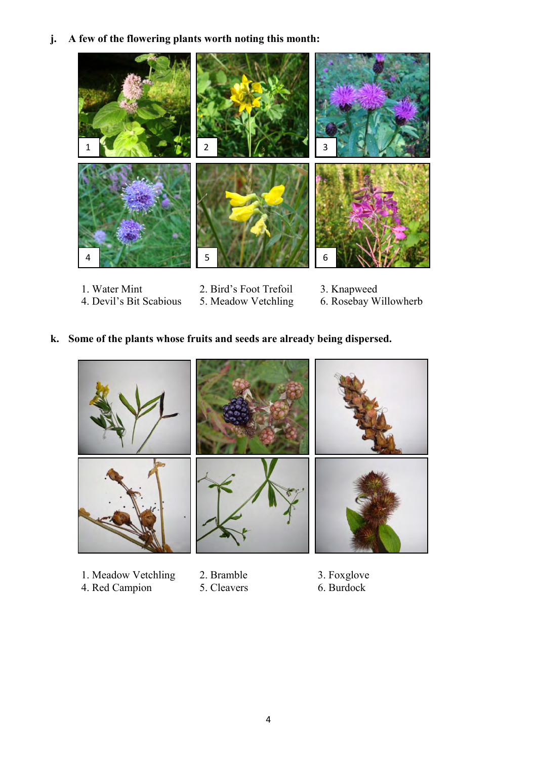**j. A few of the flowering plants worth noting this month:**



1. Water Mint 2. Bird's Foot Trefoil 3. Knapweed<br>4. Devil's Bit Scabious 5. Meadow Vetchling 6. Rosebay W 5. Meadow Vetchling 6. Rosebay Willowherb

## **k. Some of the plants whose fruits and seeds are already being dispersed.**



- 1. Meadow Vetchling 2. Bramble 3. Foxglove 4. Red Campion 5. Cleavers 6. Burdock
- 4. Red Campion
- 
- 
-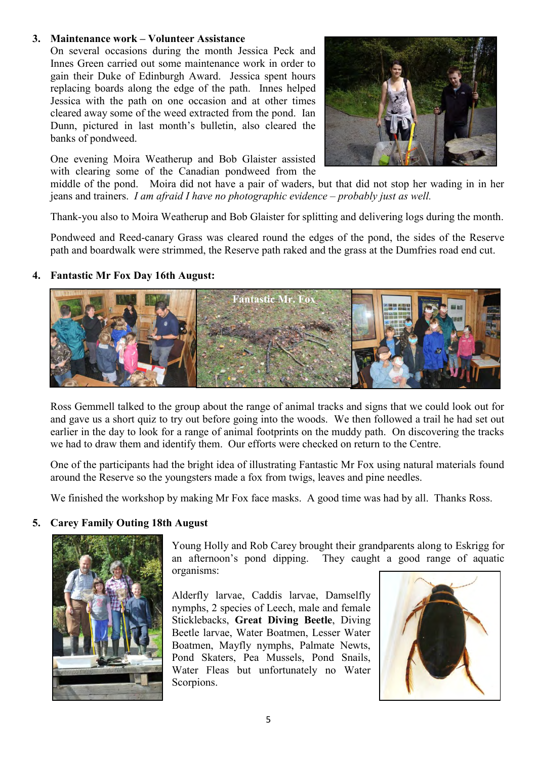#### **3. Maintenance work – Volunteer Assistance**

On several occasions during the month Jessica Peck and Innes Green carried out some maintenance work in order to gain their Duke of Edinburgh Award. Jessica spent hours replacing boards along the edge of the path. Innes helped Jessica with the path on one occasion and at other times cleared away some of the weed extracted from the pond. Ian Dunn, pictured in last month's bulletin, also cleared the banks of pondweed.



One evening Moira Weatherup and Bob Glaister assisted with clearing some of the Canadian pondweed from the

middle of the pond. Moira did not have a pair of waders, but that did not stop her wading in in her jeans and trainers. *I am afraid I have no photographic evidence – probably just as well.* 

Thank-you also to Moira Weatherup and Bob Glaister for splitting and delivering logs during the month.

Pondweed and Reed-canary Grass was cleared round the edges of the pond, the sides of the Reserve path and boardwalk were strimmed, the Reserve path raked and the grass at the Dumfries road end cut.

#### **4. Fantastic Mr Fox Day 16th August:**



Ross Gemmell talked to the group about the range of animal tracks and signs that we could look out for and gave us a short quiz to try out before going into the woods. We then followed a trail he had set out earlier in the day to look for a range of animal footprints on the muddy path. On discovering the tracks we had to draw them and identify them. Our efforts were checked on return to the Centre.

One of the participants had the bright idea of illustrating Fantastic Mr Fox using natural materials found around the Reserve so the youngsters made a fox from twigs, leaves and pine needles.

We finished the workshop by making Mr Fox face masks. A good time was had by all. Thanks Ross.

#### **5. Carey Family Outing 18th August**



Young Holly and Rob Carey brought their grandparents along to Eskrigg for an afternoon's pond dipping. They caught a good range of aquatic organisms:

Alderfly larvae, Caddis larvae, Damselfly nymphs, 2 species of Leech, male and female Sticklebacks, **Great Diving Beetle**, Diving Beetle larvae, Water Boatmen, Lesser Water Boatmen, Mayfly nymphs, Palmate Newts, Pond Skaters, Pea Mussels, Pond Snails, Water Fleas but unfortunately no Water Scorpions.